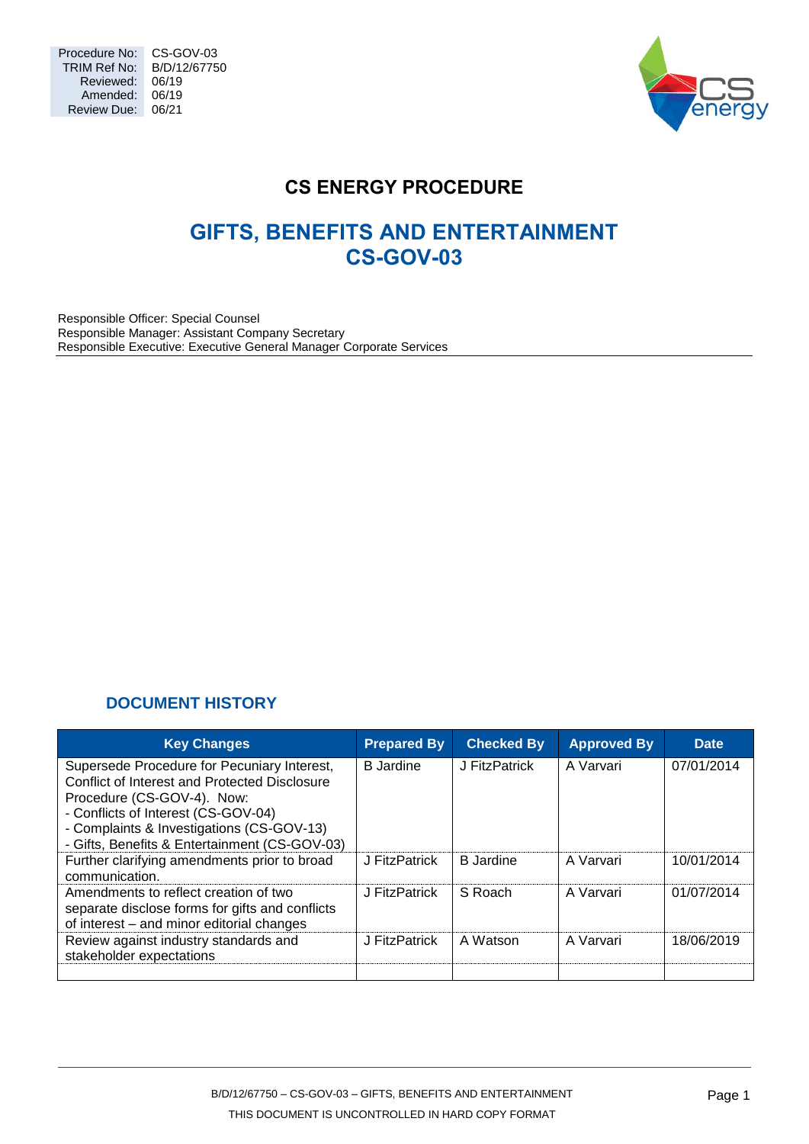

# **CS ENERGY PROCEDURE**

# **GIFTS, BENEFITS AND ENTERTAINMENT CS-GOV-03**

Responsible Officer: Special Counsel Responsible Manager: Assistant Company Secretary Responsible Executive: Executive General Manager Corporate Services

# **DOCUMENT HISTORY**

<span id="page-0-0"></span>

| <b>Key Changes</b>                                                                                                                                                                                                                                              | <b>Prepared By</b> | <b>Checked By</b> | <b>Approved By</b> | <b>Date</b> |
|-----------------------------------------------------------------------------------------------------------------------------------------------------------------------------------------------------------------------------------------------------------------|--------------------|-------------------|--------------------|-------------|
| Supersede Procedure for Pecuniary Interest,<br>Conflict of Interest and Protected Disclosure<br>Procedure (CS-GOV-4). Now:<br>- Conflicts of Interest (CS-GOV-04)<br>- Complaints & Investigations (CS-GOV-13)<br>- Gifts, Benefits & Entertainment (CS-GOV-03) | <b>B</b> Jardine   | J FitzPatrick     | A Varvari          | 07/01/2014  |
| Further clarifying amendments prior to broad<br>communication.                                                                                                                                                                                                  | J FitzPatrick      | <b>B</b> Jardine  | A Varvari          | 10/01/2014  |
| Amendments to reflect creation of two<br>separate disclose forms for gifts and conflicts<br>of interest - and minor editorial changes                                                                                                                           | J FitzPatrick      | S Roach           | A Varvari          | 01/07/2014  |
| Review against industry standards and<br>stakeholder expectations                                                                                                                                                                                               | J FitzPatrick      | A Watson          | A Varvari          | 18/06/2019  |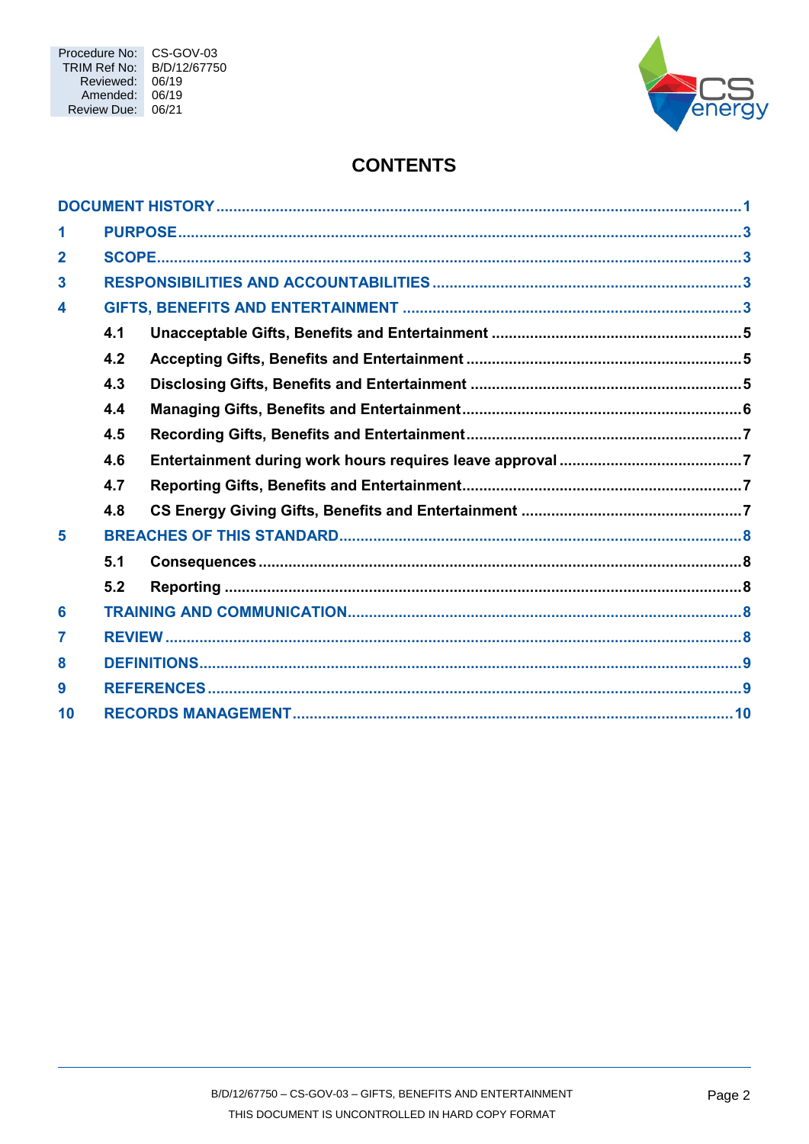

# **CONTENTS**

| 1              |     |  |
|----------------|-----|--|
| $\overline{2}$ |     |  |
| $\mathbf{3}$   |     |  |
| 4              |     |  |
|                | 4.1 |  |
|                | 4.2 |  |
|                | 4.3 |  |
|                | 4.4 |  |
|                | 4.5 |  |
|                | 4.6 |  |
|                | 4.7 |  |
|                | 4.8 |  |
| 5              |     |  |
|                | 5.1 |  |
|                | 5.2 |  |
| 6              |     |  |
| 7              |     |  |
| 8              |     |  |
| 9              |     |  |
| 10             |     |  |
|                |     |  |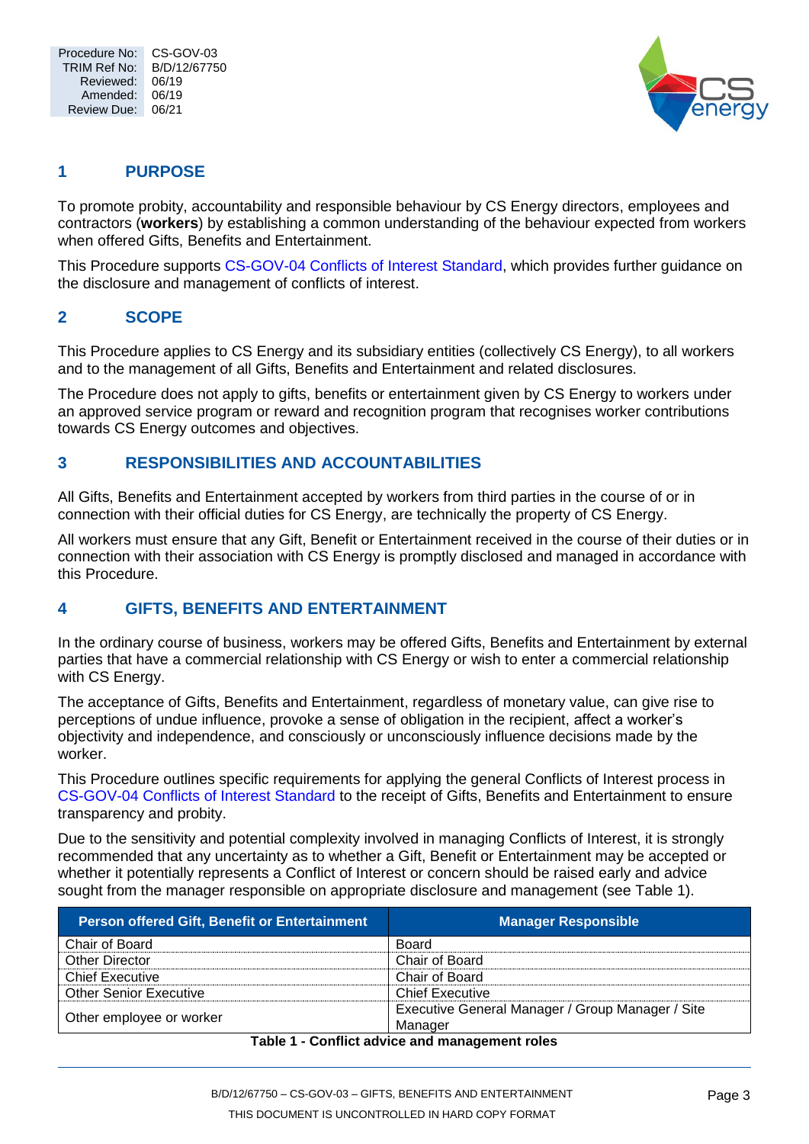

# <span id="page-2-0"></span>**1 PURPOSE**

To promote probity, accountability and responsible behaviour by CS Energy directors, employees and contractors (**workers**) by establishing a common understanding of the behaviour expected from workers when offered Gifts, Benefits and Entertainment.

This Procedure supports [CS-GOV-04 Conflicts of Interest Standard,](trim://B/D/13/8790?view&db=10) which provides further guidance on the disclosure and management of conflicts of interest.

# <span id="page-2-1"></span>**2 SCOPE**

This Procedure applies to CS Energy and its subsidiary entities (collectively CS Energy), to all workers and to the management of all Gifts, Benefits and Entertainment and related disclosures.

The Procedure does not apply to gifts, benefits or entertainment given by CS Energy to workers under an approved service program or reward and recognition program that recognises worker contributions towards CS Energy outcomes and objectives.

## <span id="page-2-2"></span>**3 RESPONSIBILITIES AND ACCOUNTABILITIES**

All Gifts, Benefits and Entertainment accepted by workers from third parties in the course of or in connection with their official duties for CS Energy, are technically the property of CS Energy.

All workers must ensure that any Gift, Benefit or Entertainment received in the course of their duties or in connection with their association with CS Energy is promptly disclosed and managed in accordance with this Procedure.

# <span id="page-2-3"></span>**4 GIFTS, BENEFITS AND ENTERTAINMENT**

In the ordinary course of business, workers may be offered Gifts, Benefits and Entertainment by external parties that have a commercial relationship with CS Energy or wish to enter a commercial relationship with CS Energy.

The acceptance of Gifts, Benefits and Entertainment, regardless of monetary value, can give rise to perceptions of undue influence, provoke a sense of obligation in the recipient, affect a worker's objectivity and independence, and consciously or unconsciously influence decisions made by the worker.

This Procedure outlines specific requirements for applying the general Conflicts of Interest process in [CS-GOV-04 Conflicts of Interest Standard](trim://B/D/13/8790?view&db=10) to the receipt of Gifts, Benefits and Entertainment to ensure transparency and probity.

Due to the sensitivity and potential complexity involved in managing Conflicts of Interest, it is strongly recommended that any uncertainty as to whether a Gift, Benefit or Entertainment may be accepted or whether it potentially represents a Conflict of Interest or concern should be raised early and advice sought from the manager responsible on appropriate disclosure and management (see [Table 1\)](#page-2-4).

<span id="page-2-4"></span>

| <b>Person offered Gift, Benefit or Entertainment</b> | <b>Manager Responsible</b>                       |  |  |
|------------------------------------------------------|--------------------------------------------------|--|--|
| Chair of Board                                       | Board                                            |  |  |
| <b>Other Director</b>                                | Chair of Board                                   |  |  |
| <b>Chief Executive</b>                               | Chair of Board                                   |  |  |
| <b>Other Senior Executive</b>                        | <b>Chief Executive</b>                           |  |  |
|                                                      | Executive General Manager / Group Manager / Site |  |  |
| Other employee or worker                             | Manager                                          |  |  |
| Table 1. Canflict advise and management valor        |                                                  |  |  |

#### **Table 1 - Conflict advice and management roles**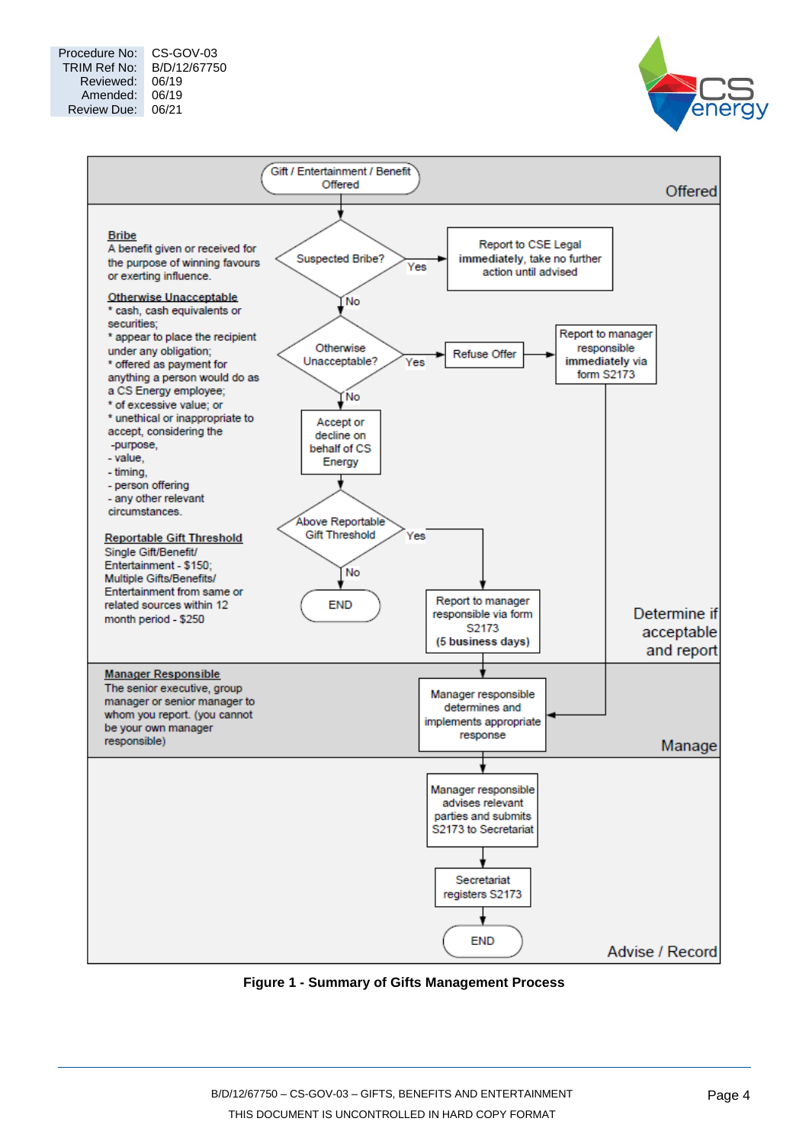



**Figure 1 - Summary of Gifts Management Process**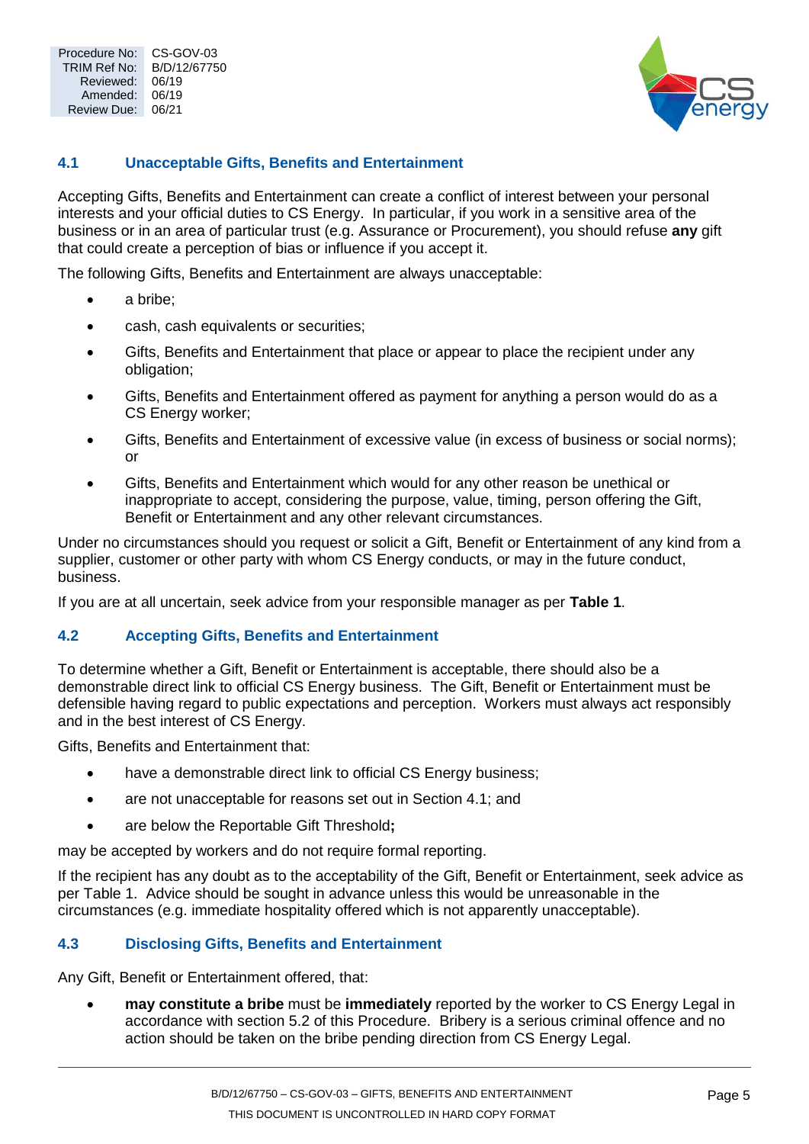

### <span id="page-4-0"></span>**4.1 Unacceptable Gifts, Benefits and Entertainment**

Accepting Gifts, Benefits and Entertainment can create a conflict of interest between your personal interests and your official duties to CS Energy. In particular, if you work in a sensitive area of the business or in an area of particular trust (e.g. Assurance or Procurement), you should refuse **any** gift that could create a perception of bias or influence if you accept it.

The following Gifts, Benefits and Entertainment are always unacceptable:

- a bribe:
- cash, cash equivalents or securities:
- Gifts, Benefits and Entertainment that place or appear to place the recipient under any obligation;
- Gifts, Benefits and Entertainment offered as payment for anything a person would do as a CS Energy worker;
- Gifts, Benefits and Entertainment of excessive value (in excess of business or social norms); or
- Gifts, Benefits and Entertainment which would for any other reason be unethical or inappropriate to accept, considering the purpose, value, timing, person offering the Gift, Benefit or Entertainment and any other relevant circumstances.

Under no circumstances should you request or solicit a Gift, Benefit or Entertainment of any kind from a supplier, customer or other party with whom CS Energy conducts, or may in the future conduct, business.

If you are at all uncertain, seek advice from your responsible manager as per **[Table 1](#page-2-4)**.

#### <span id="page-4-1"></span>**4.2 Accepting Gifts, Benefits and Entertainment**

To determine whether a Gift, Benefit or Entertainment is acceptable, there should also be a demonstrable direct link to official CS Energy business. The Gift, Benefit or Entertainment must be defensible having regard to public expectations and perception. Workers must always act responsibly and in the best interest of CS Energy.

Gifts, Benefits and Entertainment that:

- have a demonstrable direct link to official CS Energy business;
- are not unacceptable for reasons set out in Section 4.1; and
- are below the Reportable Gift Threshold**;**

may be accepted by workers and do not require formal reporting.

If the recipient has any doubt as to the acceptability of the Gift, Benefit or Entertainment, seek advice as per [Table 1.](#page-2-4) Advice should be sought in advance unless this would be unreasonable in the circumstances (e.g. immediate hospitality offered which is not apparently unacceptable).

#### <span id="page-4-2"></span>**4.3 Disclosing Gifts, Benefits and Entertainment**

Any Gift, Benefit or Entertainment offered, that:

• **may constitute a bribe** must be **immediately** reported by the worker to CS Energy Legal in accordance with section 5.2 of this Procedure. Bribery is a serious criminal offence and no action should be taken on the bribe pending direction from CS Energy Legal.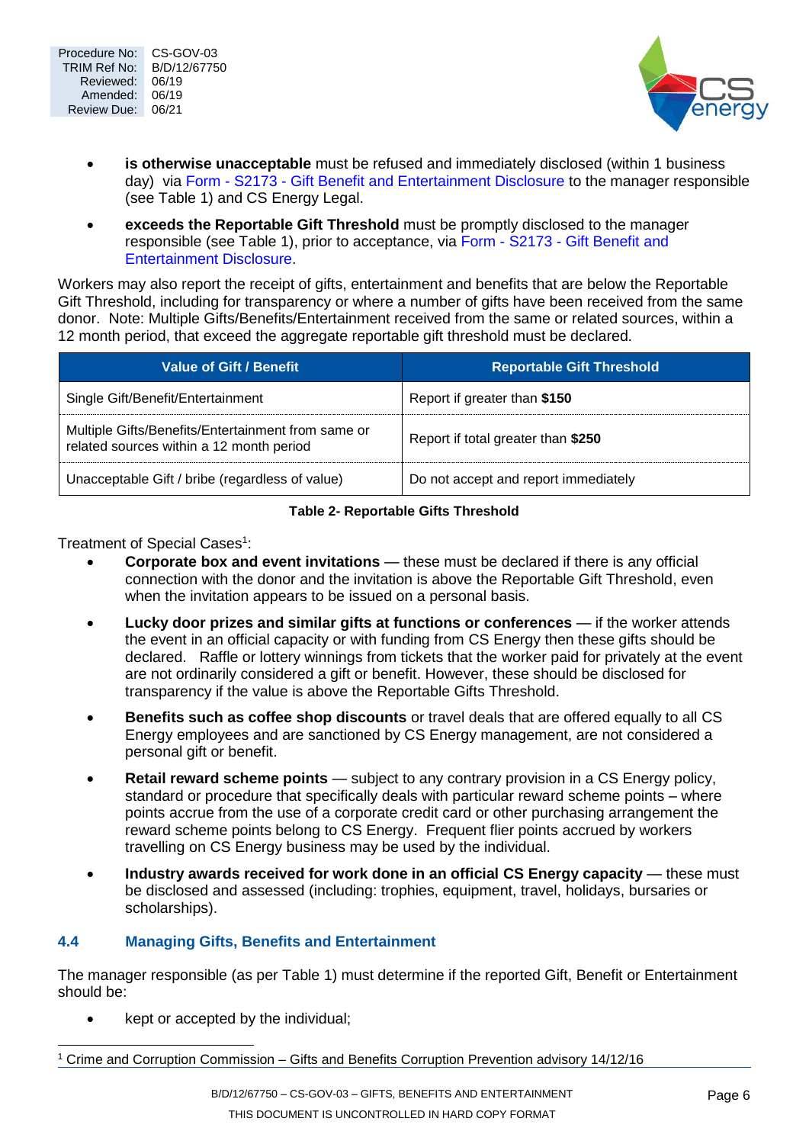



- **is otherwise unacceptable** must be refused and immediately disclosed (within 1 business day) via Form - S2173 - [Gift Benefit and Entertainment Disclosure](trim://B/D/14/18681?view&db=10) to the manager responsible (see [Table 1\)](#page-2-4) and CS Energy Legal.
- **exceeds the Reportable Gift Threshold** must be promptly disclosed to the manager responsible (see [Table 1\)](#page-2-4), prior to acceptance, via Form - S2173 - [Gift Benefit and](trim://B/D/14/18681?view&db=10)  [Entertainment Disclosure.](trim://B/D/14/18681?view&db=10)

Workers may also report the receipt of gifts, entertainment and benefits that are below the Reportable Gift Threshold, including for transparency or where a number of gifts have been received from the same donor. Note: Multiple Gifts/Benefits/Entertainment received from the same or related sources, within a 12 month period, that exceed the aggregate reportable gift threshold must be declared.

| <b>Value of Gift / Benefit</b>                                                                 | <b>Reportable Gift Threshold</b>     |
|------------------------------------------------------------------------------------------------|--------------------------------------|
| Single Gift/Benefit/Entertainment                                                              | Report if greater than \$150         |
| Multiple Gifts/Benefits/Entertainment from same or<br>related sources within a 12 month period | Report if total greater than \$250   |
| Unacceptable Gift / bribe (regardless of value)                                                | Do not accept and report immediately |

#### **Table 2- Reportable Gifts Threshold**

<span id="page-5-1"></span>Treatment of Special Cases<sup>1</sup>:

- **Corporate box and event invitations** these must be declared if there is any official connection with the donor and the invitation is above the Reportable Gift Threshold, even when the invitation appears to be issued on a personal basis.
- **Lucky door prizes and similar gifts at functions or conferences** if the worker attends the event in an official capacity or with funding from CS Energy then these gifts should be declared. Raffle or lottery winnings from tickets that the worker paid for privately at the event are not ordinarily considered a gift or benefit. However, these should be disclosed for transparency if the value is above the Reportable Gifts Threshold.
- **Benefits such as coffee shop discounts** or travel deals that are offered equally to all CS Energy employees and are sanctioned by CS Energy management, are not considered a personal gift or benefit.
- **Retail reward scheme points** subject to any contrary provision in a CS Energy policy, standard or procedure that specifically deals with particular reward scheme points – where points accrue from the use of a corporate credit card or other purchasing arrangement the reward scheme points belong to CS Energy. Frequent flier points accrued by workers travelling on CS Energy business may be used by the individual.
- **Industry awards received for work done in an official CS Energy capacity** these must be disclosed and assessed (including: trophies, equipment, travel, holidays, bursaries or scholarships).

## <span id="page-5-0"></span>**4.4 Managing Gifts, Benefits and Entertainment**

The manager responsible (as per [Table 1\)](#page-2-4) must determine if the reported Gift, Benefit or Entertainment should be:

• kept or accepted by the individual;

 $\overline{a}$ 

<sup>1</sup> Crime and Corruption Commission – Gifts and Benefits Corruption Prevention advisory 14/12/16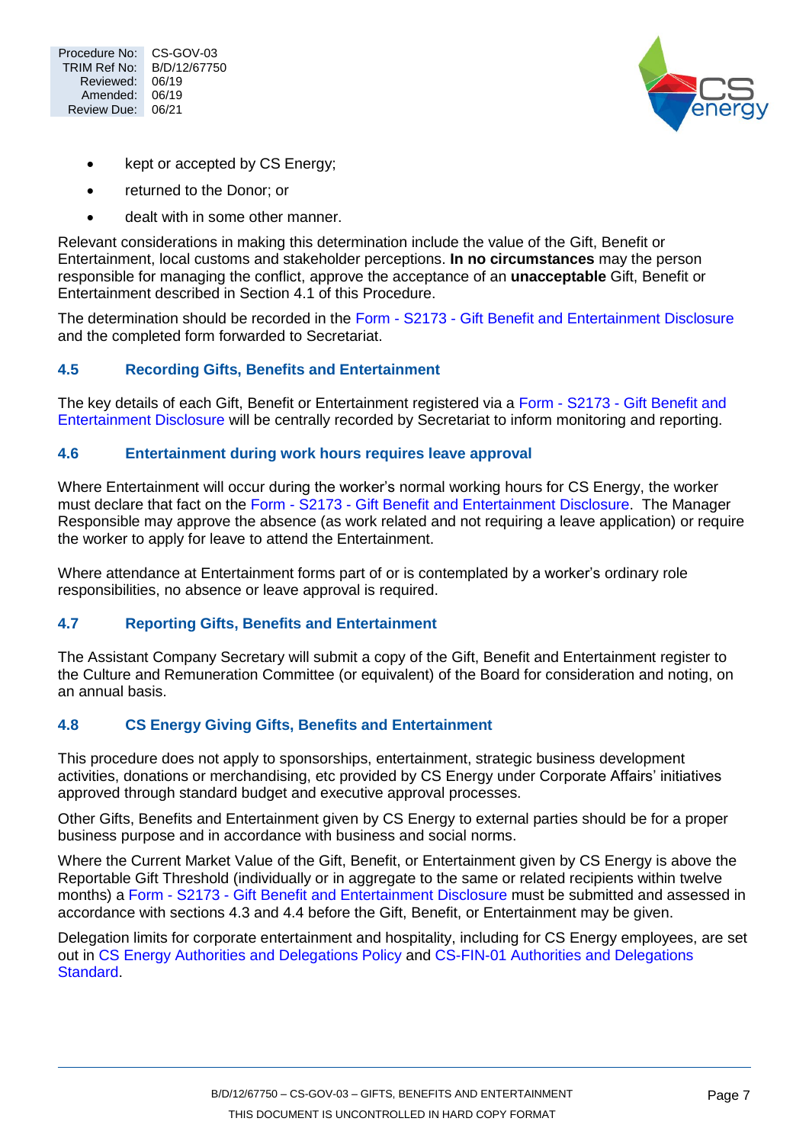



- kept or accepted by CS Energy;
- returned to the Donor; or
- dealt with in some other manner.

Relevant considerations in making this determination include the value of the Gift, Benefit or Entertainment, local customs and stakeholder perceptions. **In no circumstances** may the person responsible for managing the conflict, approve the acceptance of an **unacceptable** Gift, Benefit or Entertainment described in Section 4.1 of this Procedure.

The determination should be recorded in the Form - S2173 - [Gift Benefit and Entertainment Disclosure](trim://B/D/14/18681?view&db=10) and the completed form forwarded to Secretariat.

#### <span id="page-6-0"></span>**4.5 Recording Gifts, Benefits and Entertainment**

The key details of each Gift, Benefit or Entertainment registered via a Form - S2173 - [Gift Benefit and](trim://B/D/14/18681?view&db=10)  [Entertainment Disclosure](trim://B/D/14/18681?view&db=10) will be centrally recorded by Secretariat to inform monitoring and reporting.

#### <span id="page-6-1"></span>**4.6 Entertainment during work hours requires leave approval**

Where Entertainment will occur during the worker's normal working hours for CS Energy, the worker must declare that fact on the Form - S2173 - [Gift Benefit and Entertainment Disclosure.](trim://B/D/14/18681?view&db=10) The Manager Responsible may approve the absence (as work related and not requiring a leave application) or require the worker to apply for leave to attend the Entertainment.

Where attendance at Entertainment forms part of or is contemplated by a worker's ordinary role responsibilities, no absence or leave approval is required.

#### <span id="page-6-2"></span>**4.7 Reporting Gifts, Benefits and Entertainment**

The Assistant Company Secretary will submit a copy of the Gift, Benefit and Entertainment register to the Culture and Remuneration Committee (or equivalent) of the Board for consideration and noting, on an annual basis.

#### <span id="page-6-3"></span>**4.8 CS Energy Giving Gifts, Benefits and Entertainment**

This procedure does not apply to sponsorships, entertainment, strategic business development activities, donations or merchandising, etc provided by CS Energy under Corporate Affairs' initiatives approved through standard budget and executive approval processes.

Other Gifts, Benefits and Entertainment given by CS Energy to external parties should be for a proper business purpose and in accordance with business and social norms.

Where the Current Market Value of the Gift, Benefit, or Entertainment given by CS Energy is above the Reportable Gift Threshold (individually or in aggregate to the same or related recipients within twelve months) a Form - S2173 - [Gift Benefit and Entertainment Disclosure](trim://B/D/14/18681?view&db=10) must be submitted and assessed in accordance with sections [4.3](#page-4-2) and 4.4 before the Gift, Benefit, or Entertainment may be given.

Delegation limits for corporate entertainment and hospitality, including for CS Energy employees, are set out in [CS Energy Authorities and Delegations Policy](trim://B/D/14/2004?view&db=10) and [CS-FIN-01 Authorities and Delegations](trim://B/D/11/39713?view&db=10)  [Standard.](trim://B/D/11/39713?view&db=10)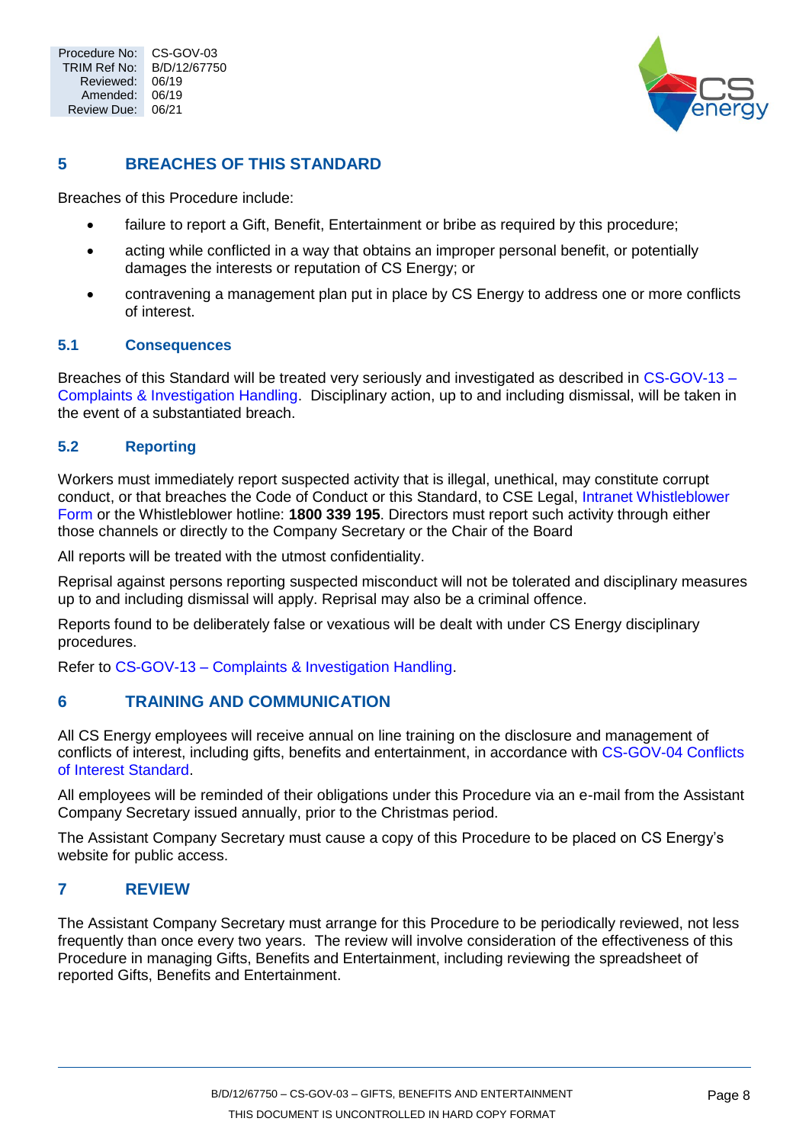

## <span id="page-7-0"></span>**5 BREACHES OF THIS STANDARD**

Breaches of this Procedure include:

- failure to report a Gift, Benefit, Entertainment or bribe as required by this procedure;
- acting while conflicted in a way that obtains an improper personal benefit, or potentially damages the interests or reputation of CS Energy; or
- contravening a management plan put in place by CS Energy to address one or more conflicts of interest.

### <span id="page-7-1"></span>**5.1 Consequences**

Breaches of this Standard will be treated very seriously and investigated as described in [CS-GOV-13 –](trim://B/D/13/28187?view&db=10) [Complaints & Investigation Handling.](trim://B/D/13/28187?view&db=10) Disciplinary action, up to and including dismissal, will be taken in the event of a substantiated breach.

## <span id="page-7-2"></span>**5.2 Reporting**

Workers must immediately report suspected activity that is illegal, unethical, may constitute corrupt conduct, or that breaches the Code of Conduct or this Standard, to CSE Legal, [Intranet Whistleblower](http://csnet/Working-at-CS-Energy/Governance--risk-and-compliance/Fraud-control-and-whistleblower-reporting/Whistleblower-form)  [Form](http://csnet/Working-at-CS-Energy/Governance--risk-and-compliance/Fraud-control-and-whistleblower-reporting/Whistleblower-form) or the Whistleblower hotline: **1800 339 195**. Directors must report such activity through either those channels or directly to the Company Secretary or the Chair of the Board

All reports will be treated with the utmost confidentiality.

Reprisal against persons reporting suspected misconduct will not be tolerated and disciplinary measures up to and including dismissal will apply. Reprisal may also be a criminal offence.

Reports found to be deliberately false or vexatious will be dealt with under CS Energy disciplinary procedures.

Refer to CS-GOV-13 – [Complaints & Investigation Handling.](trim://B/D/13/28187?view&db=10)

## <span id="page-7-3"></span>**6 TRAINING AND COMMUNICATION**

All CS Energy employees will receive annual on line training on the disclosure and management of conflicts of interest, including gifts, benefits and entertainment, in accordance with [CS-GOV-04 Conflicts](trim://B/D/13/8790?view&db=10)  [of Interest Standard.](trim://B/D/13/8790?view&db=10)

All employees will be reminded of their obligations under this Procedure via an e-mail from the Assistant Company Secretary issued annually, prior to the Christmas period.

The Assistant Company Secretary must cause a copy of this Procedure to be placed on CS Energy's website for public access.

## <span id="page-7-4"></span>**7 REVIEW**

The Assistant Company Secretary must arrange for this Procedure to be periodically reviewed, not less frequently than once every two years. The review will involve consideration of the effectiveness of this Procedure in managing Gifts, Benefits and Entertainment, including reviewing the spreadsheet of reported Gifts, Benefits and Entertainment.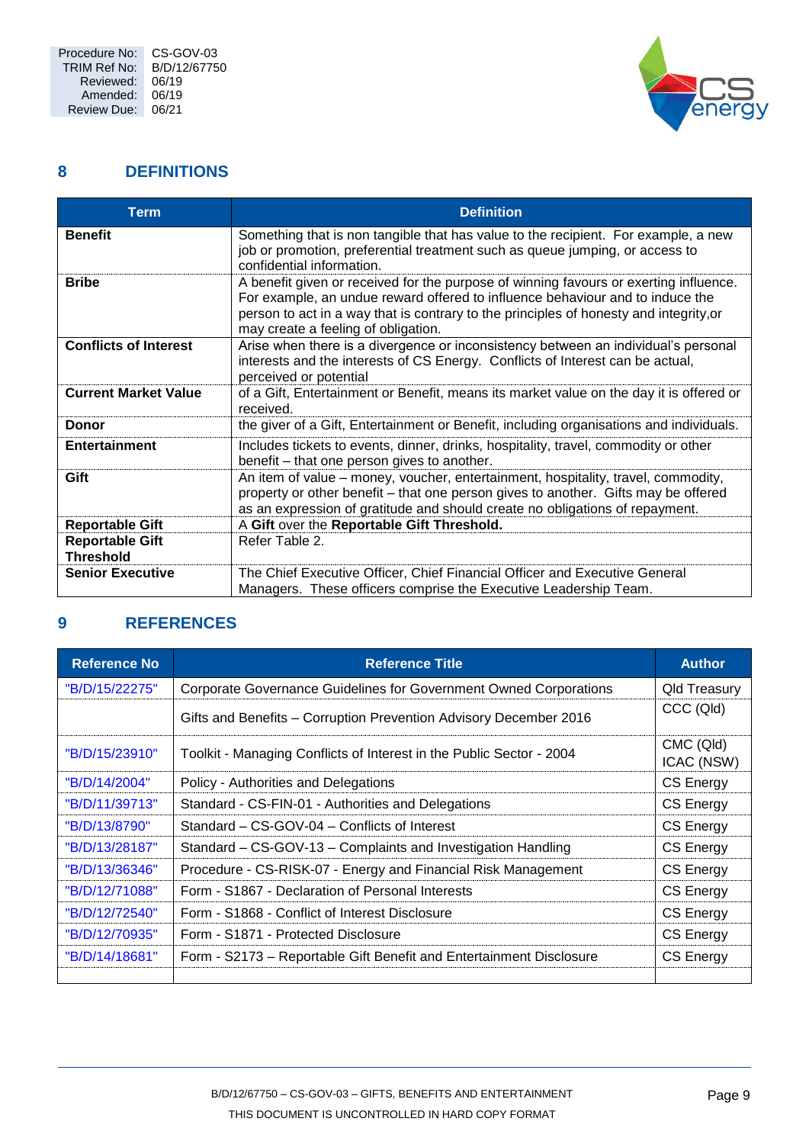

## <span id="page-8-0"></span>**8 DEFINITIONS**

| <b>Term</b>                                | <b>Definition</b>                                                                                                                                                                                                                                                                                       |
|--------------------------------------------|---------------------------------------------------------------------------------------------------------------------------------------------------------------------------------------------------------------------------------------------------------------------------------------------------------|
| <b>Benefit</b>                             | Something that is non tangible that has value to the recipient. For example, a new<br>job or promotion, preferential treatment such as queue jumping, or access to<br>confidential information.                                                                                                         |
| <b>Bribe</b>                               | A benefit given or received for the purpose of winning favours or exerting influence.<br>For example, an undue reward offered to influence behaviour and to induce the<br>person to act in a way that is contrary to the principles of honesty and integrity, or<br>may create a feeling of obligation. |
| <b>Conflicts of Interest</b>               | Arise when there is a divergence or inconsistency between an individual's personal<br>interests and the interests of CS Energy. Conflicts of Interest can be actual,<br>perceived or potential                                                                                                          |
| <b>Current Market Value</b>                | of a Gift, Entertainment or Benefit, means its market value on the day it is offered or<br>received.                                                                                                                                                                                                    |
| <b>Donor</b>                               | the giver of a Gift, Entertainment or Benefit, including organisations and individuals.                                                                                                                                                                                                                 |
| <b>Entertainment</b>                       | Includes tickets to events, dinner, drinks, hospitality, travel, commodity or other<br>benefit – that one person gives to another.                                                                                                                                                                      |
| Gift                                       | An item of value – money, voucher, entertainment, hospitality, travel, commodity,<br>property or other benefit – that one person gives to another. Gifts may be offered<br>as an expression of gratitude and should create no obligations of repayment.                                                 |
| <b>Reportable Gift</b>                     | A Gift over the Reportable Gift Threshold.                                                                                                                                                                                                                                                              |
| <b>Reportable Gift</b><br><b>Threshold</b> | Refer Table 2.                                                                                                                                                                                                                                                                                          |
| <b>Senior Executive</b>                    | The Chief Executive Officer, Chief Financial Officer and Executive General                                                                                                                                                                                                                              |
|                                            | Managers. These officers comprise the Executive Leadership Team.                                                                                                                                                                                                                                        |

# <span id="page-8-1"></span>**9 REFERENCES**

| <b>Reference No</b> | <b>Reference Title</b>                                               | <b>Author</b>           |
|---------------------|----------------------------------------------------------------------|-------------------------|
| "B/D/15/22275"      | Corporate Governance Guidelines for Government Owned Corporations    | <b>Qld Treasury</b>     |
|                     | Gifts and Benefits - Corruption Prevention Advisory December 2016    | CCC (Qld)               |
| "B/D/15/23910"      | Toolkit - Managing Conflicts of Interest in the Public Sector - 2004 | CMC (Qld)<br>ICAC (NSW) |
| "B/D/14/2004"       | Policy - Authorities and Delegations                                 | CS Energy               |
| "B/D/11/39713"      | Standard - CS-FIN-01 - Authorities and Delegations                   | <b>CS Energy</b>        |
| "B/D/13/8790"       | Standard – CS-GOV-04 – Conflicts of Interest                         | <b>CS Energy</b>        |
| "B/D/13/28187"      | Standard – CS-GOV-13 – Complaints and Investigation Handling         | <b>CS Energy</b>        |
| "B/D/13/36346"      | Procedure - CS-RISK-07 - Energy and Financial Risk Management        | <b>CS Energy</b>        |
| "B/D/12/71088"      | Form - S1867 - Declaration of Personal Interests                     | <b>CS Energy</b>        |
| "B/D/12/72540"      | Form - S1868 - Conflict of Interest Disclosure                       | <b>CS Energy</b>        |
| "B/D/12/70935"      | Form - S1871 - Protected Disclosure                                  | <b>CS Energy</b>        |
| "B/D/14/18681"      | Form - S2173 – Reportable Gift Benefit and Entertainment Disclosure  | <b>CS Energy</b>        |
|                     |                                                                      |                         |